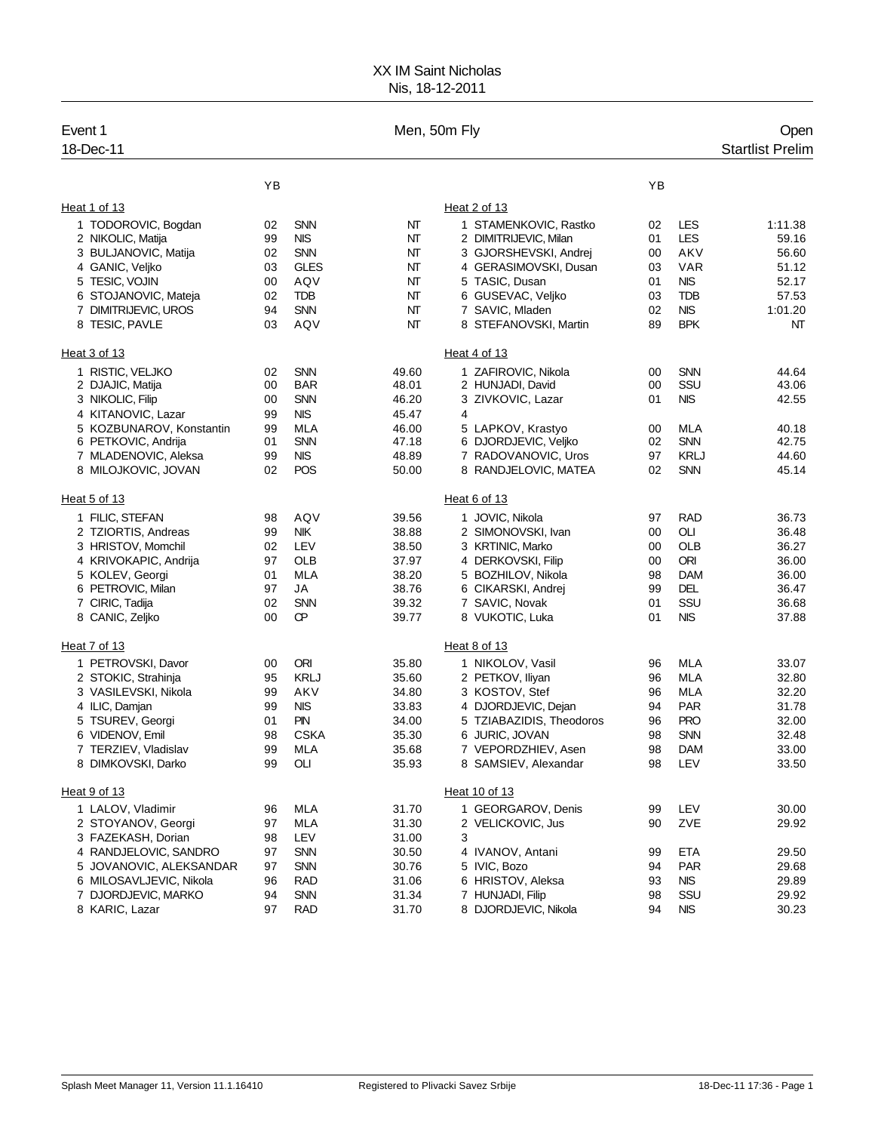## XX IM Saint Nicholas Nis, 18-12-2011

| Event 1<br>18-Dec-11     |    |             | Men, 50m Fly |                          |    |             | Open<br><b>Startlist Prelim</b> |
|--------------------------|----|-------------|--------------|--------------------------|----|-------------|---------------------------------|
|                          | YB |             |              |                          | YB |             |                                 |
| Heat 1 of 13             |    |             |              | Heat 2 of 13             |    |             |                                 |
| 1 TODOROVIC, Bogdan      | 02 | <b>SNN</b>  | NT           | 1 STAMENKOVIC, Rastko    | 02 | LES         | 1:11.38                         |
| 2 NIKOLIC, Matija        | 99 | <b>NIS</b>  | NΤ           | 2 DIMITRIJEVIC, Milan    | 01 | <b>LES</b>  | 59.16                           |
| 3 BULJANOVIC, Matija     | 02 | <b>SNN</b>  | NT           | 3 GJORSHEVSKI, Andrej    | 00 | AKV         | 56.60                           |
| 4 GANIC, Veliko          | 03 | <b>GLES</b> | NT           | 4 GERASIMOVSKI, Dusan    | 03 | VAR         | 51.12                           |
| 5 TESIC, VOJIN           | 00 | AQV         | NT           | 5 TASIC, Dusan           | 01 | <b>NIS</b>  | 52.17                           |
| 6 STOJANOVIC, Mateja     | 02 | TDB         | NT           | 6 GUSEVAC, Veljko        | 03 | <b>TDB</b>  | 57.53                           |
| 7 DIMITRIJEVIC, UROS     | 94 | <b>SNN</b>  | NT           | 7 SAVIC, Mladen          | 02 | <b>NIS</b>  | 1:01.20                         |
| 8 TESIC, PAVLE           | 03 | AQV         | NT           | 8 STEFANOVSKI, Martin    | 89 | <b>BPK</b>  | NΤ                              |
| Heat 3 of 13             |    |             |              | Heat 4 of 13             |    |             |                                 |
| 1 RISTIC, VELJKO         | 02 | <b>SNN</b>  | 49.60        | 1 ZAFIROVIC, Nikola      | 00 | <b>SNN</b>  | 44.64                           |
| 2 DJAJIC, Matija         | 00 | <b>BAR</b>  | 48.01        | 2 HUNJADI, David         | 00 | SSU         | 43.06                           |
| 3 NIKOLIC, Filip         | 00 | <b>SNN</b>  | 46.20        | 3 ZIVKOVIC, Lazar        | 01 | <b>NIS</b>  | 42.55                           |
| 4 KITANOVIC, Lazar       | 99 | <b>NIS</b>  | 45.47        | 4                        |    |             |                                 |
| 5 KOZBUNAROV, Konstantin | 99 | MLA         | 46.00        | 5 LAPKOV, Krastyo        | 00 | MLA         | 40.18                           |
| 6 PETKOVIC, Andrija      | 01 | <b>SNN</b>  | 47.18        | 6 DJORDJEVIC, Veljko     | 02 | <b>SNN</b>  | 42.75                           |
| 7 MLADENOVIC, Aleksa     | 99 | <b>NIS</b>  | 48.89        | 7 RADOVANOVIC, Uros      | 97 | <b>KRLJ</b> | 44.60                           |
| 8 MILOJKOVIC, JOVAN      | 02 | POS         | 50.00        | 8 RANDJELOVIC, MATEA     | 02 | SNN         | 45.14                           |
| Heat 5 of 13             |    |             |              | Heat 6 of 13             |    |             |                                 |
| 1 FILIC, STEFAN          | 98 | AQV         | 39.56        | 1 JOVIC, Nikola          | 97 | <b>RAD</b>  | 36.73                           |
| 2 TZIORTIS, Andreas      | 99 | <b>NIK</b>  | 38.88        | 2 SIMONOVSKI, Ivan       | 00 | OLI         | 36.48                           |
| 3 HRISTOV, Momchil       | 02 | LEV         | 38.50        | 3 KRTINIC, Marko         | 00 | OLB         | 36.27                           |
| 4 KRIVOKAPIC, Andrija    | 97 | OLB         | 37.97        | 4 DERKOVSKI, Filip       | 00 | ORI         | 36.00                           |
| 5 KOLEV, Georgi          | 01 | MLA         | 38.20        | 5 BOZHILOV, Nikola       | 98 | <b>DAM</b>  | 36.00                           |
| 6 PETROVIC, Milan        | 97 | JA          | 38.76        | 6 CIKARSKI, Andrej       | 99 | DEL         | 36.47                           |
| 7 CIRIC, Tadija          | 02 | <b>SNN</b>  | 39.32        | 7 SAVIC, Novak           | 01 | SSU         | 36.68                           |
| 8 CANIC, Zeljko          | 00 | œ           | 39.77        | 8 VUKOTIC, Luka          | 01 | <b>NIS</b>  | 37.88                           |
| Heat 7 of 13             |    |             |              | Heat 8 of 13             |    |             |                                 |
| 1 PETROVSKI, Davor       | 00 | ORI         | 35.80        | 1 NIKOLOV, Vasil         | 96 | MLA         | 33.07                           |
| 2 STOKIC, Strahinja      | 95 | <b>KRLJ</b> | 35.60        | 2 PETKOV, Iliyan         | 96 | MLA         | 32.80                           |
| 3 VASILEVSKI, Nikola     | 99 | AKV         | 34.80        | 3 KOSTOV, Stef           | 96 | <b>MLA</b>  | 32.20                           |
| 4 ILIC, Damjan           | 99 | <b>NIS</b>  | 33.83        | 4 DJORDJEVIC, Dejan      | 94 | <b>PAR</b>  | 31.78                           |
| 5 TSUREV, Georgi         | 01 | PN          | 34.00        | 5 TZIABAZIDIS, Theodoros | 96 | <b>PRO</b>  | 32.00                           |
| 6 VIDENOV, Emil          | 98 | <b>CSKA</b> | 35.30        | 6 JURIC, JOVAN           | 98 | <b>SNN</b>  | 32.48                           |
| 7 TERZIEV, Vladislav     | 99 | <b>MLA</b>  | 35.68        | 7 VEPORDZHIEV, Asen      | 98 | <b>DAM</b>  | 33.00                           |
| 8 DIMKOVSKI, Darko       | 99 | OLI         | 35.93        | 8 SAMSIEV, Alexandar     | 98 | LEV         | 33.50                           |
| Heat 9 of 13             |    |             |              | Heat 10 of 13            |    |             |                                 |
| 1 LALOV, Vladimir        | 96 | <b>MLA</b>  | 31.70        | 1 GEORGAROV, Denis       | 99 | LEV         | 30.00                           |
| 2 STOYANOV, Georgi       | 97 | <b>MLA</b>  | 31.30        | 2 VELICKOVIC, Jus        | 90 | ZVE         | 29.92                           |
| 3 FAZEKASH, Dorian       | 98 | LEV         | 31.00        | 3                        |    |             |                                 |
| 4 RANDJELOVIC, SANDRO    | 97 | <b>SNN</b>  | 30.50        | 4 IVANOV, Antani         | 99 | ETA         | 29.50                           |
| 5 JOVANOVIC, ALEKSANDAR  | 97 | <b>SNN</b>  | 30.76        | 5 IVIC, Bozo             | 94 | <b>PAR</b>  | 29.68                           |
| 6 MILOSAVLJEVIC, Nikola  | 96 | RAD         | 31.06        | 6 HRISTOV, Aleksa        | 93 | <b>NIS</b>  | 29.89                           |
| 7 DJORDJEVIC, MARKO      | 94 | <b>SNN</b>  | 31.34        | 7 HUNJADI, Filip         | 98 | SSU         | 29.92                           |
| 8 KARIC, Lazar           | 97 | <b>RAD</b>  | 31.70        | 8 DJORDJEVIC, Nikola     | 94 | <b>NIS</b>  | 30.23                           |